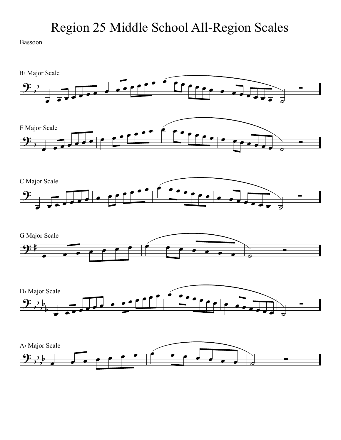## Region 25 Middle School All-Region Scales

Bassoon